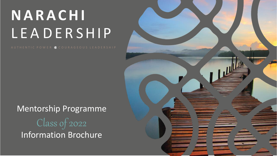# **N A R A C H I** L E A D E R S H I P

A U T H E N T I C P O W E R & C O U R A G E O U S L E A D E R S H I P

Mentorship Programme Class of 2022 Information Brochure

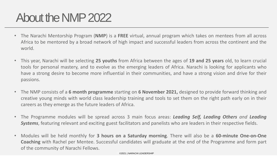### About the NMP 2022

- The Narachi Mentorship Program (**NMP**) is a **FREE** virtual, annual program which takes on mentees from all across Africa to be mentored by a broad network of high impact and successful leaders from across the continent and the world.
- This year, Narachi will be selecting **25 youths** from Africa between the ages of **19 and 25 years** old, to learn crucial tools for personal mastery, and to evolve as the emerging leaders of Africa. Narachi is looking for applicants who have a strong desire to become more influential in their communities, and have a strong vision and drive for their passions.
- The NMP consists of a **6 month programme** starting on **6 November 2021,** designed to provide forward thinking and creative young minds with world class leadership training and tools to set them on the right path early on in their careers as they emerge as the future leaders of Africa.
- The Programme modules will be spread across 3 main focus areas: *Leading Self, Leading Others and Leading Systems*, featuring relevant and exciting guest facilitators and panelists who are leaders in their respective fields.
- Modules will be held monthly for **3 hours on a Saturday morning**. There will also be a **60-minute One-on-One Coaching** with Rachel per Mentee. Successful candidates will graduate at the end of the Programme and form part of the community of Narachi Fellows.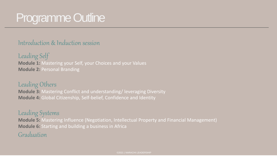### Programme Outline

#### Introduction & Induction session

Leading Self **Module 1:** Mastering your Self, your Choices and your Values **Module 2:** Personal Branding

#### Leading Others

**Module 3:** Mastering Conflict and understanding/ leveraging Diversity **Module 4:** Global Citizenship, Self-belief, Confidence and Identity

#### Leading Systems

**Module 5:** Mastering Influence (Negotiation, Intellectual Property and Financial Management) **Module 6:** Starting and building a business in Africa

### Graduation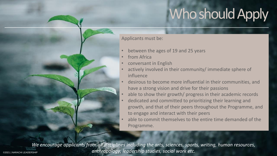## Who should Apply

Applicants must be:

- between the ages of 19 and 25 years
- from Africa
- conversant in English
- actively involved in their community/ immediate sphere of influence
- desirous to become more influential in their communities, and have a strong vision and drive for their passions
- able to show their growth/ progress in their academic records
- dedicated and committed to prioritizing their learning and growth, and that of their peers throughout the Programme, and to engage and interact with their peers
- able to commit themselves to the entire time demanded of the Programme.

*We encourage applicants from all disciplines including the arts, sciences, sports, writing, human resources,*  ©2021 | NARACHI LEADERSHIP *anthropology, leadership studies, social work etc.*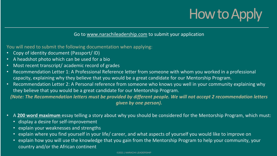# How to Apply

#### Go to [www.narachileadership.com](http://www.narachileadership.com/) to submit your application

You will need to submit the following documentation when applying:

- Copy of identity document (Passport/ ID)
- A headshot photo which can be used for a bio
- Most recent transcript/academic record of grades
- Recommendation Letter 1: A Professional Reference letter from someone with whom you worked in a professional capacity, explaining why they believe that you would be a great candidate for our Mentorship Program.
- Recommendation Letter 2: A Personal reference from someone who knows you well in your community explaining why they believe that you would be a great candidate for our Mentorship Program. *(Note: The Recommendation letters must be provided by different people. We will not accept 2 recommendation letters*

*given by one person).*

- A **200 word maximum** essay telling a story about why you should be considered for the Mentorship Program, which must:
	- display a desire for self-improvement
	- explain your weaknesses and strengths
	- explain where you find yourself in your life/ career, and what aspects of yourself you would like to improve on
	- explain how you will use the knowledge that you gain from the Mentorship Program to help your community, your country and/or the African continent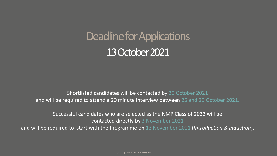## Deadline for Applications 13 October 2021

Shortlisted candidates will be contacted by 20 October 2021 and will be required to attend a 20 minute interview between 25 and 29 October 2021.

Successful candidates who are selected as the NMP Class of 2022 will be contacted directly by 3 November 2021 and will be required to start with the Programme on 13 November 2021 (*Introduction & Induction*).

©2021 | NARACHI LEADERSHIP